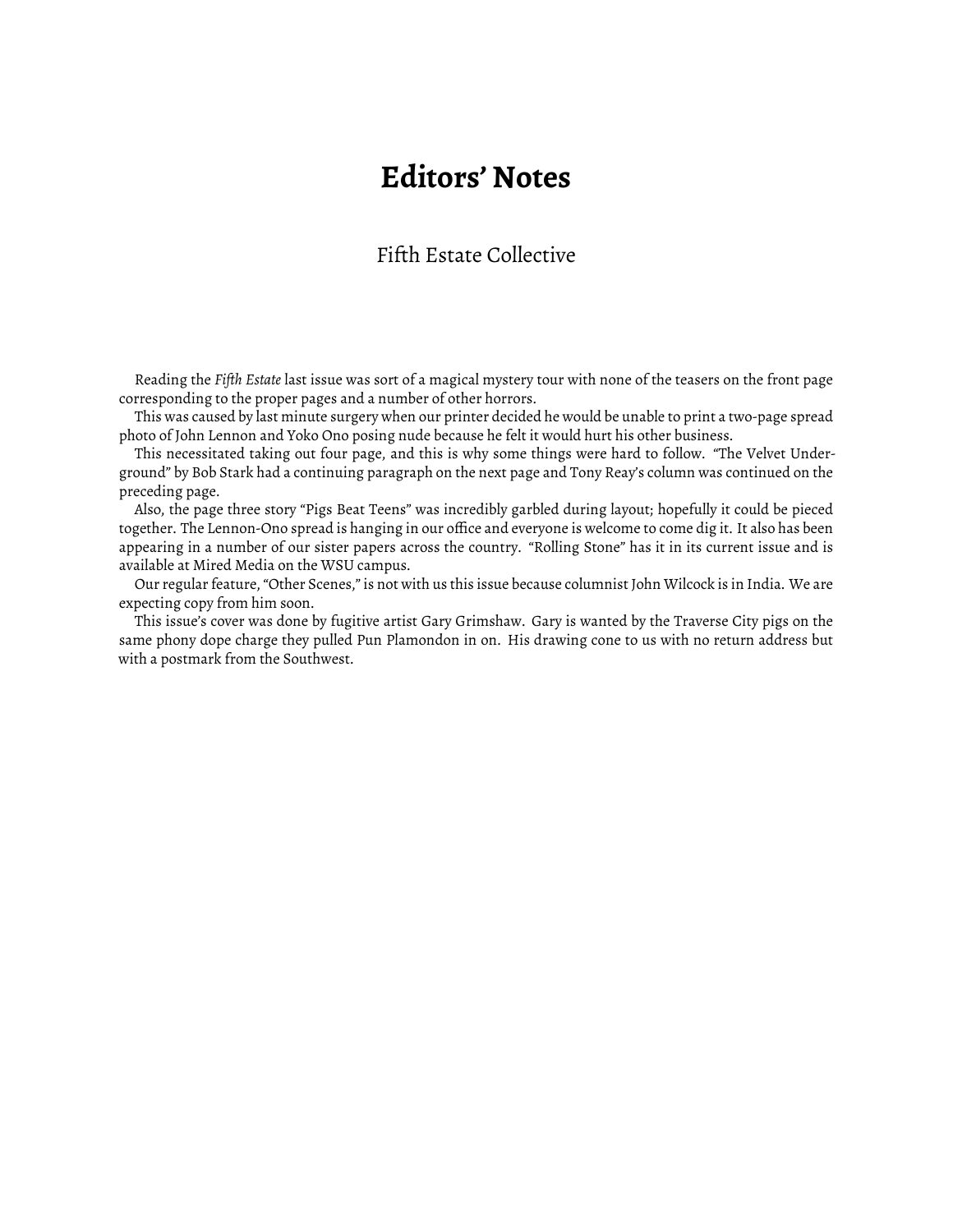## **Editors' Notes**

## Fifth Estate Collective

Reading the *Fifth Estate* last issue was sort of a magical mystery tour with none of the teasers on the front page corresponding to the proper pages and a number of other horrors.

This was caused by last minute surgery when our printer decided he would be unable to print a two-page spread photo of John Lennon and Yoko Ono posing nude because he felt it would hurt his other business.

This necessitated taking out four page, and this is why some things were hard to follow. "The Velvet Underground" by Bob Stark had a continuing paragraph on the next page and Tony Reay's column was continued on the preceding page.

Also, the page three story "Pigs Beat Teens" was incredibly garbled during layout; hopefully it could be pieced together. The Lennon-Ono spread is hanging in our office and everyone is welcome to come dig it. It also has been appearing in a number of our sister papers across the country. "Rolling Stone" has it in its current issue and is available at Mired Media on the WSU campus.

Our regular feature, "Other Scenes," is not with us this issue because columnist John Wilcock is in India. We are expecting copy from him soon.

This issue's cover was done by fugitive artist Gary Grimshaw. Gary is wanted by the Traverse City pigs on the same phony dope charge they pulled Pun Plamondon in on. His drawing cone to us with no return address but with a postmark from the Southwest.